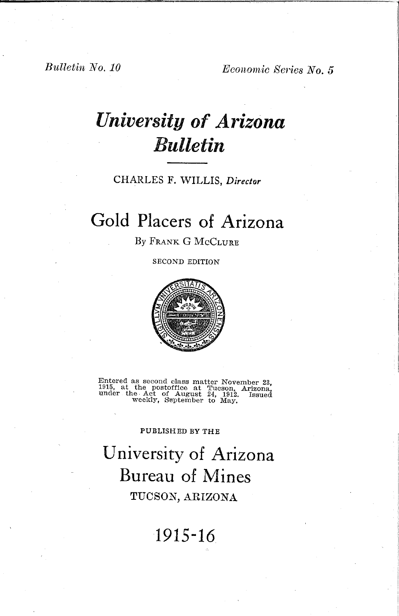*Bulletin No. 10 Economic Series No. 5* 

# *University of Arizona Bulletin*

## CHARLES F. WILLIS, *Director*

## **Gold Placers of Arizona**

By FRANK G McCLURE

SECOND EDITION



Entered as second class matter November 23, 1915, at the postoffice at Tucson, Arizona, under the Act of August 24, 1912. Issued weekly, September to May.

#### PUBLISHED BY THE

**University of Arizona Bureau of Mines** TUOSON, ARIZONA

## **1915-16**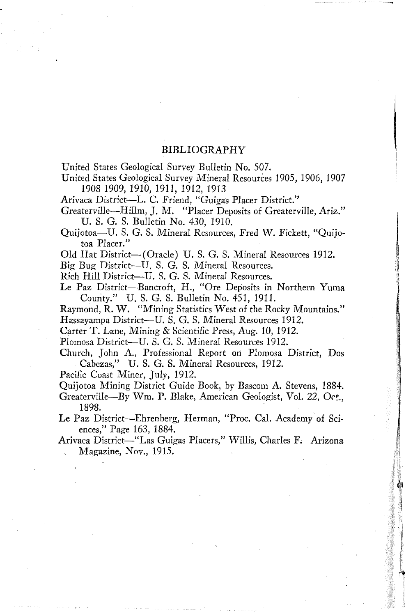#### BIBLIOGRAPHY

*Vnited* States Geological Survey Bulletin No. 507.

Vnited States Geological Survey Mineral Resources 1905, 1906, 1907 1908 1909, 1910, 1911, 1912, 1913

Arivaca District-L. C. Friend, "Guigas Placer District."

Greaterville-HilIm, J. M. "Placer Deposits of Greaterville, Ariz." *V.* S. G. S. Bulletin No. 430, 1910.

Quijotoa-U. S. G. S. Mineral Resources, Fred W. Fickett, "Quijotoa Placer."

Old Hat District-(Oracle) U. S. G. S. Mineral Resources 1912.

Big Bug District-U. S. G. S. Mineral Resources.

Rich Hill District-U. S. G. S. Mineral Resources.

Le Paz District-Bancroft, H., "Ore Deposits in Northern Yuma Comity." U. S. G. S. Bulletin No. 451, 1911.

Raymond, R. W. "Mining Statistics West of the Rocky Mountains." Hassayampa District-U. S. G. S. Mineral Resources 1912.

Carter T. Lane, Mining & Scientific Press, Aug. 10, 1912.

Plomosa District--U. S. G. S. Mineral Resources 1912.

Church, John A, Professional Report on Plomosa District, Dos Cabezas," U. S. G. S. Mineral Resources, 1912.

Pacific Coast Miner, July, 1912.

Quijotoa Mining District Guide Book, by Bascom A. Stevens, 1884.

Greaterville-By Wm. P. Blake, American Geologist, Vol. 22, Oct., 1898.

Le Paz District-Ehrenberg, Herman, "Proc. Cal. Academy of Sciences," Page 163, 1884.

Arivaca District-"Las Guigas Placers," Willis, Charles F. Arizona Magazine, Nov., 1915.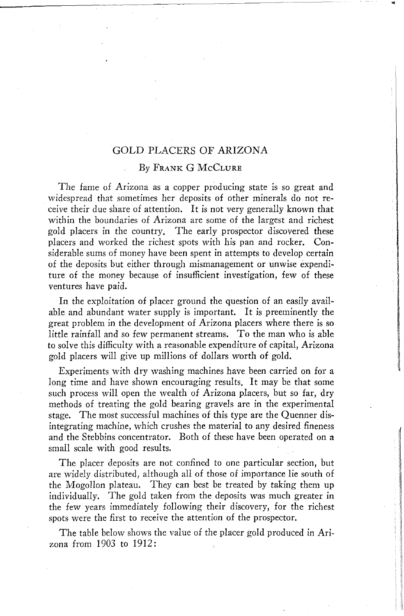## GOLD PLACERS OF ARIZONA

#### By FRANK G McCLURE

The fame of Arizona as a copper producing state is so great and widespread that sometimes her deposits of other minerals do not receive their due share of attention. It is not very generally known that within the boundaries of Arizona are some of the largest and richest gold placers in the country. The early prospector discovered these placers and worked the richest spots with his pan and rocker. Considerable sums of money have been spent in attempts to develop certain of the deposits but either through mismanagement or unwise expenditure of the money because of insufficient investigation, few of these ventures have paid.

distantante **Information Control** 

**International Property and Public Actions** 

,I, !

**In** the exploitation of placer ground the question of an easily available and abundant water supply is important. It is preeminently the great problem in the development of Arizona placers where there is so little rainfall and so few permanent streams. To the man who is able to solve this difficulty with a reasonable expenditure of capital, Arizona gold placers will give up millions of dollars worth of gold.

Experiments with dry washing machines have been carried on for a long time and have shown encouraging results. It may be that some such process will open the wealth of Arizona placers, but so far, dry methods of treating the gold bearing gravels are in the experimental stage. The most successful machines of this type are the Quenner disintegrating machine, which crushes the material to any desired fineness and the Stebbins concentrator. Both of these have been operated on a small scale with good results.

The placer deposits are not confined to one particular section, but are widely distributed, although all of those of importance lie south of the Mogollon plateau. They can best be treated by taking them up individually. The gold taken from the deposits Was much greater in the few years immediately following their discovery, for the richest spots were the first to receive the attention of the prospector.

The table below shows the value of the placer gold produced in Arizona from 1903 to 1912: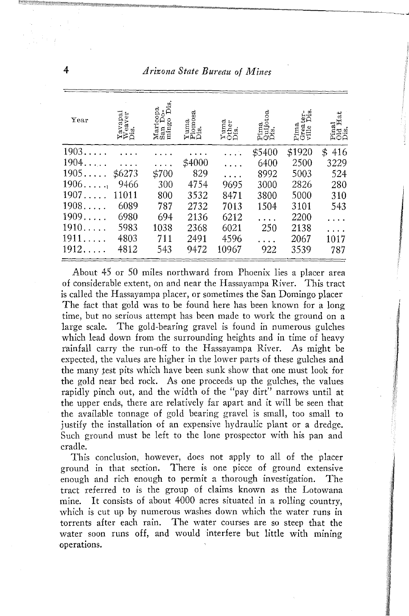### 4 *Arizona State Bureau of JJ1.ines*

| $_{\rm Year}$ | $\begin{array}{c}\n\textbf{Y} \text{arginal} \\ \textbf{W} \text{eaver} \\ \textbf{Dis.}\n\end{array}$ | Maricopa<br>Å<br>mingo<br>San | $\frac{\text{Yuma}}{\text{Piomosa}}$ | $\begin{array}{c}\n\textbf{Y} \textbf{uma} \\ \textbf{Other} \\ \textbf{D} \textbf{is}.\n\end{array}$ | Quijotoa<br>Dis.<br>Pima | Pima<br>Greater-<br>ville Dis. | Pinal<br>Old Hat<br>Dis. |
|---------------|--------------------------------------------------------------------------------------------------------|-------------------------------|--------------------------------------|-------------------------------------------------------------------------------------------------------|--------------------------|--------------------------------|--------------------------|
| 1903          |                                                                                                        |                               |                                      | г.                                                                                                    | \$5400                   | \$1920                         | 416<br>\$                |
| 1904          |                                                                                                        |                               | \$4000                               |                                                                                                       | 6400                     | 2500                           | 3229                     |
| $1905\ldots$  | \$6273                                                                                                 | \$700                         | 829                                  |                                                                                                       | 8992                     | 5003                           | 524                      |
| 1906          | 9466                                                                                                   | 300                           | 4754                                 | 9695                                                                                                  | 3000                     | 2826                           | 280                      |
| 1907.         | 11011                                                                                                  | 800                           | 3532                                 | 8471                                                                                                  | 3800                     | 5000                           | 310                      |
| 1908          | 6089                                                                                                   | 787                           | 2732                                 | 7013                                                                                                  | 1504                     | 3101                           | 543                      |
| 1909          | 6980                                                                                                   | 694                           | 2136                                 | 6212                                                                                                  |                          | 2200                           | $\cdots$                 |
| 1910          | 5983                                                                                                   | 1038                          | 2368                                 | 6021                                                                                                  | 250                      | 2138                           |                          |
| 1911          | 4803                                                                                                   | 711                           | 2491                                 | 4596                                                                                                  |                          | 2067                           | 1017                     |
| 1912.         | 4812                                                                                                   | 543                           | 9472                                 | 10967                                                                                                 | 922                      | 3539                           | 787                      |

About 45 or 50 miles northward from Phoenix lies a placer area of considerable extent, on and near the Hassayampa River. This tract is called the Hassayampa placer, or sometimes the San Domingo placer The fact that gold was to be found here has been known for a long time, but no serious attempt has been made to work the ground on a large scale. The gold-bearing gravel is found in numerous gulches which lead down from the surrounding heights and in time of heavy rainfall carry the run-off to the Hassayampa River. As might be expected, the values are higher in the lower parts of these gulches and the many test pits which have been sunk show that one must look for the gold near bed rock. As one proceeds up the gulches, the values rapidly pinch out, and the width of the "pay dirt" narrows until at the upper ends, there are relatively far apart and it will be seen that the available tonnage of gold bearing gravel is small, too small to justify the installation of an expensive hydraulic plant or a dredge. Such ground must be left to the lone prospector with his pan and cradle.

This conclusion, however, does not apply to all of the placer ground in that section. There is one piece of ground extensive enough and rich enough to permit a thorough investigation. The tract referred to is the group of claims known as the Lotowana mine. It consists of about 4000 acres situated in a rolling country, which is cut up by numerous washes down which the water runs in torrents after each rain. The water courses are so steep that the water soon runs off, and would interfere but little with mining {)perations.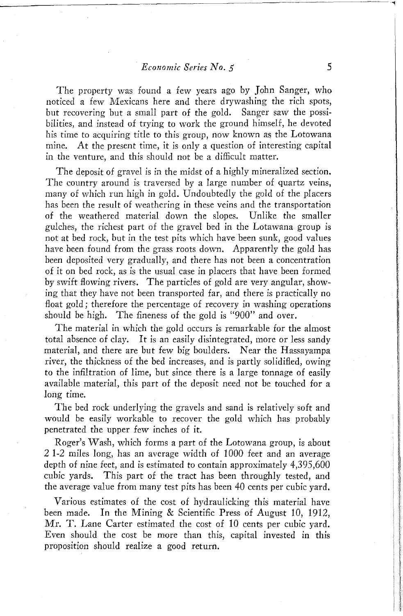The property was found a few years ago by John Sanger, who noticed a few Mexicans here and there drywashing the rich spots, but recovering but a small part of the gold. Sanger saw the possibilities, and instead of trying to work the ground himself, he devoted his time to acquiring title to this group, now known as the Lotowana mine. At the present time, it is only a question of interesting capital in the venture, and this should not be a difficult matter.

The deposit of gravel is in the midst of a highly mineralized section. The country around is traversed by a large number of quartz veins, many of vvhich run high in gold. Undoubtedly the gold of the placers has been the result of weathering in these veins and the transportation of the weathered material down the slopes. Unlike the smaller gulches, the richest part of the gravel bed in the Lotawana group is not at bed rock, but in the test pits which have been sunk, good values have been found from the grass roots down. Apparently the gold has been deposited very gradually, and there has not been a concentration of it on bed rock, as is the usual case in placers that have been formed by swift flowing rivers. The particles of gold are very angular, showing that they have not been transported far, and there is practically no float gold; therefore the percentage of recovery in washing operations should be high. The fineness of the gold is "900" and over.

The material in which the gold occurs is remarkable for the almost total absence of clay. It is an easily disintegrated, more or less sandy material, and there are but few big boulders. Near the Hassayampa river, the thickness of the bed increases, and is partly solidifled, owing to the infiltration of lime, but since there is a large tonnage of easily available material, this part of the deposit need not be touched for a long time.

The bed rock underlying the gravels and sand is relatively soft and would be easily workable to recover the gold which has probably penetrated the upper few inches of it.

Roger's Wash, which forms a part of the Lotowana group, is about 2 1-2 miles long, has an average width of 1000 feet and an average depth of nine feet, and is estimated to contain approximately 4,395,600 cubic yards. This part of the tract has been throughly tested, and the average value from many test pits has been 40 cents per cubic yard.

Various estimates of the cost of hydraulicking this material have been made. In the Mining & Scientific Press of August 10, 1912, Mr. T. Lane Carter estimated the cost of 10 cents per cubic yard. Even should the cost be more than this, capital invested in this proposition should realize a good return.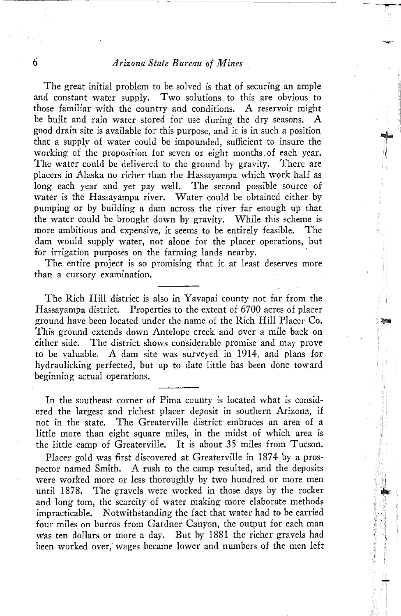### 6 *Arizona State Bureau of Mines*

The great initial problem to be solved is that of securing an ample and constant water supply. Two solutions. to this are obvious to those familiar with the country and conditions. A reservoir might be built and rain water stored for use during the dry seasons. A good drain site is available for this purpose, and it is in such a position that a supply of water could be impounded, sufficient to insure the working of the proposition for seven or eight months. of each year. The water could be delivered to the ground by gravity. There are placers in Alaska no richer than the Hassayampa which work half as long each year and yet pay well. The second possible source of water is the Hassayampa river. Water could be obtained either by pumping or by building a dam across the river far enough up that the water could be brought down by gravity. While this scheme is more ambitious and expensive, it seems to be entirely feasible. The dam would supply water, not alone for the placer operations, but for irrigation purposes on the farming lands nearby.

The entire project is so promising that it at least deserves more than a cursory examination.

The Rich Hill district is also in Yavapai county not far from the Hassayampa district. Properties to the extent of 6700 acres of placer ground have been located under the name of the Rich Hill Placer Co. This ground extends down Antelope creek and over a mile back on either side. The district shows considerable promise and may prove to be valuable. A dam site was surveyed in 1914, and plans for hydraulicking perfected, but up to date little has been done toward beginning actual operations.

In the southeast corner of Pima county is located what is considered the largest and richest placer deposit in southern Arizona, if not in the state. The Greaterville district embraces an area of a little more than eight square miles, in the midst of which area is the little camp of Greaterville. It is about 35 miles from Tucson.

Placer gold was first discovered at Greaterville in 1874 by a prospector named Smith. A rush to the camp resulted, and the deposits were worked more or less thoroughly by two hundred or more men until 1878. The gravels were worked in those days by the rocker and long tom, the scarcity of water making more elaborate methods impracticable. Notwithstanding the fact that water had to be carried four miles on burros from Gardner Canyon, the output for each man Was ten dollars or more a day. But by 1881 the richer gravels had been worked over, wages became lower and numbers of the men left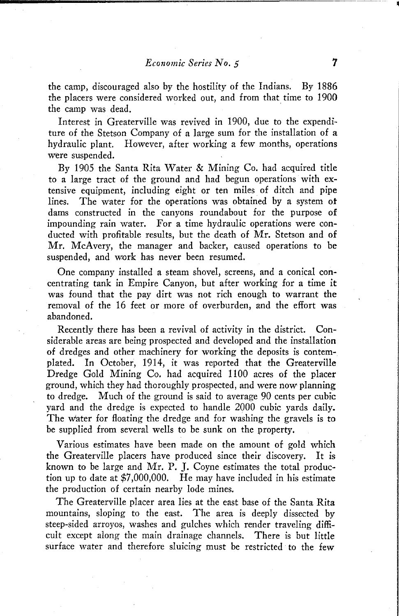the camp, discouraged also by the hostility of the Indians. By 1886 the placers were considered worked out, and from that time to 1900 the camp was dead. '

Interest in Greaterville was revived in 1900, due to the expenditure of the Stetson Company of a large sum for the installation of a hydraulic plant. However, after working a few months, operations were suspended.

By 1905 the Santa Rita Water & Mining Co. had acquired title to a large tract of the ground and had begun operations with extensive equipment, including eight or ten miles of ditch and pipe lines. The water for the operations was obtained by a system ot dams constructed in the canyons roundabout for the purpose of impounding rain water. For a time hydraulic operations were conducted with profitable results, but the death of Mr. Stetson and of Mr. McAvery, the manager and backer, caused operations to be suspended, and work has never been resumed.

One company installed a steam shovel, screens, and a conical concentrating tank in Empire Canyon, but after working for a time it was found that the pay dirt was not rich enough to warrant the removal of the 16 feet or more of overburden, and the effort was abandoned.

Recently there has been a revival of activity in the district. Considerable areas are being prospected and developed and the installation of dredges and other machinery for working the deposits is contemplated. In October, 1914, it was reported that the Greaterville Dredge Gold Mining Co. had acquired 1100 acres of the placer ground, which they had thoroughly prospected, and were now planning to dredge. Much of the ground is said to average 90 cents per cubic yard and the dredge is expected to handle 2000 cubic yards daily. The Water for floating the dredge and for washing the gravels is to be supplied from several wells to be sunk on the property.

Various estimates have been made on the amount of gold which the Greaterville placers have produced since their discovery. It is known to be large and Mr. P. J. Coyne estimates the total production up to date at \$7,000,000. He may have included in his estimate the production of certain nearby lode mines.

The Greaterville placer area lies at the east base of the Santa Rita mountains, sloping to the east. The area is deeply dissected by steep-sided arroyos, washes and gulches which render traveling difficult except along the main drainage channels. There is but little surface water and therefore sluicing must be restricted to the few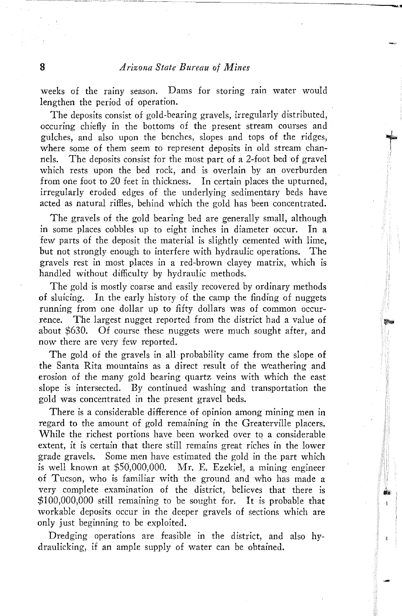weeks of the rainy season. Dams for storing rain water would lengthen the period of operation.

The deposits consist of gold-bearing gravels, irregularly distributed, occuring chiefly in the bottoms of the present stream courses and gulches, and also upon the benches, slopes and tops of the ridges, where some of them seem to represent deposits in old stream channels. The deposits consist for the most part of a 2-foot bed of gravel which rests upon the bed rock, and is overlain by an overburden from one foot to 20 feet in thickness. In certain places the upturned, irregularly eroded edges of the underlying sedimentary beds have acted as natural riffles, behind which the gold has been concentrated.

The gravels of the gold bearing bed are generally small, although in some places cobbles up to eight inches in diameter occur. In a few' parts of the deposit the material is slightly cemented with lime, but not strongly enough to interfere with hydraulic operations. The gravels rest in most places in a red-brown clayey matrix, which is handled without difficulty by hydraulic methods.

The gold is mostly coarse and easily recovered by ordinary methods of sluicing. In the early history of the camp the finding of nuggets running from one dollar up to fifty dollars was of common occurrence. The largest nugget reported from the district had a value of about \$630. Of course these nuggets were much sought after, and now there are very few reported.

The gold of the gravels in all probability came from the slope of the Santa Rita mountains as a direct result of the weathering and erosion of the many gold bearing quartz veins with which the east slope is intersected. By continued washing and transportation the gold was concentrated in the present gravel beds.

There is a considerable difference of opinion among mining men in regard to the amount of gold remaining in the Greaterville placers. While the richest portions have been worked over to a considerable extent, it is certain that there still remains great riches in the lower grade gravels. Some men have estimated the gold in the part which is well known at \$50,000,000. Mr. E. Ezekiel, a mining engineer of Tucson, who is familiar with the ground and who has made a very complete examination of the district, believes that there is \$100,000,000 still remaining to be sought for. It is probable that workable deposits occur in the deeper gravels of sections which are only just beginning to be exploited.

Dredging operations are feasible in the district, and also hydraulicking, if an ample supply of water can be obtained.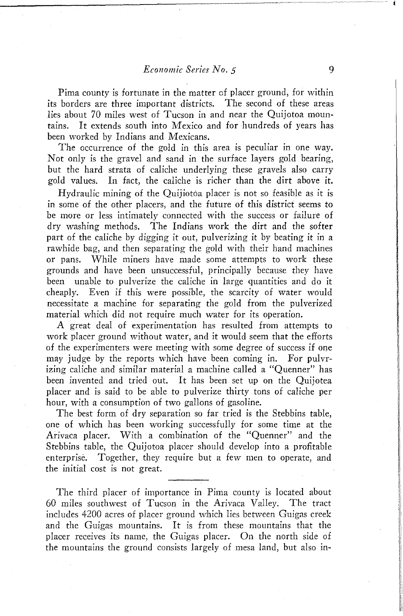Pima county is fortunate in the matter of placer ground, for within its borders are three important districts. The second of these areas lies about 70 miles west of Tucson in and near the Quijotoa mountains. It extends south into Mexico and for hundreds of years has been worked by Indians and Mexicans.

The occurrence of the gold in this area is peculiar in one way. Not only is the gravel and sand in the surface layers gold bearing, but the hard strata of caliche underlying these gravels also carry gold values. In fact, the caliche is richer than the dirt above it.

Hydraulic mining of the Quijiotoa placer is not so feasible as it is in some of the other placers, and the future of this district seems to be more or less intimately connected with the success or failure of dry washing methods. The Indians work the dirt and the softer part of the caliche by digging it out, pulverizing it by beating it in a rawhide bag, and then separating the gold with their hand machines or pans. While miners have made some attempts to work these grounds and have been unsuccessful, principally because they have been unable to pulverize the caliche in large quantities and do it cheaply. Even if this were possible, the scarcity of water would necessitate a machine for separating the gold from the pulverized material which did not require much water for its operation.

A great deal of experimentation has resulted from attempts to work placer ground without water, and it would seem that the efforts of the experimenters were meeting with some degree of success if one may judge by the reports which have been coming in. For pulvrizing caliche and similar material a machine called a "Quenner" has been invented and tried out. It has been set up on the Quijotea placer and is said to be able to pulverize thirty tons of caliche per hour, with a consumption of two gallons of gasoline.

The best form of dry separation so far tried is the Stebbins table, one of which has been working successfully for some time at the Arivaca placer. With a combination of the "Quenner" and the Stebbins table, the Quijotoa placer should develop into a profitable enterprise. Together, they require but a few men to operate, and the initial cost is not great.

The third placer of importance in Pima county is located about 60 miles southwest of Tucson in the Arivaca Valley. The tract includes 4200 acres of placer ground which lies between Guigas creek and the Guigas mountains. It is from these mountains that the placer receives its name, the Guigas placer. On the north side of the mountains the ground consists largely of mesa land, but also in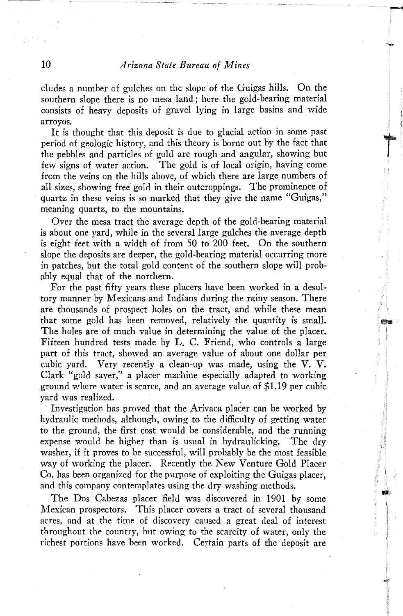eludes a number of gulches on the slope of the Guigas hills. On the southern slope there is no mesa land; here the gold-bearing material consists of heavy deposits of gravel lying in large basins and wide arroyos.

It is thought that this deposit is due to glacial action in some past period of geologic history, and this theory is borne out by the fact that the pebbles and particles of gold are rough and angular, showing but few signs of water action. The gold is of local origin, having come from the veins on the hills above, of which there are large numbers of all sizes, showing free gold in their outcroppings. The prominence of quartz in these veins is so marked that they give the name "Guigas," meaning quartz, to the mountains.

Over the mesa tract the average depth of the gold-bearing material is about one yard, while in the several large gulches the average depth is eight feet with a width of from 50 to 200 feet. On the southern slope the deposits are deeper, the gold-bearing material occurring more in patches, but the total gold content of the southern slope will probably equal that of the northern.

For the past fifty years these placers have been worked in a desultory manner by Mexicans and Indians during the rainy season. There are thousands of prospect holes on the tract, and while these mean that some gold has been removed, relatively the quantity is small. The holes are of much value in determining the value of the placer. Fifteen hundred tests made by L. C. Friend, who controls a large part of this tract, showed an average value of about one dollar per cubic yard. Very recently a clean-up was made, using the V. V. Clark "gold saver," a placer machine especially adapted to working ground where water is scarce, and an average value of \$1.19 per cubic yard was realized.

Investigation has proved that the Arivaca placer can be worked by hydraulic methods, although, owing to the difficulty of getting water to the ground, the first cost would be considerable, and the running expense would be higher than is usual in hydraulicking. The dry washer, if it proves to be successful, will probably be the most feasible way of working the placer. Recently the New Venture Gold Placer Co. has been organized for the purpose of exploiting the Guigas placer, and this company contemplates using the dry washing methods.

The Dos Cabezas placer field was discovered in 1901 by some Mexican prospectors. This placer covers a tract of several thousand acres, and at the time of discovery caused a great deal of interest throughout the country, but owing to the scarcity of water, only the richest portions have been worked. Certain parts of the deposit are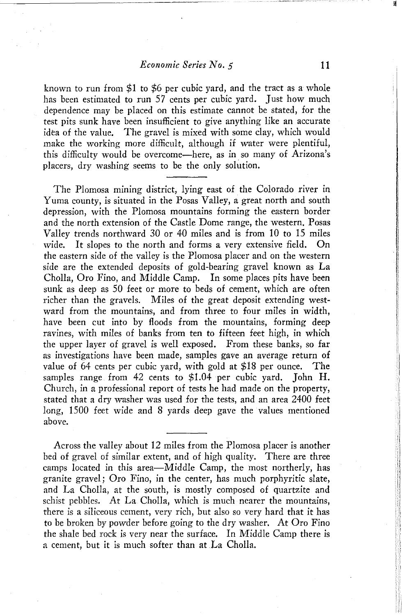#### *Economic Series NO.5* 11

known to run from \$1 to \$6 per cubic yard, and the tract as a whole has been estimated to run 57 cents per cubic yard. Just how much dependence may be placed on this estimate cannot be stated, for the test pits sunk have been insufficient to give anything like an accurate idea of the value. The gravel is mixed with some clay, which would make the working more difficult, although if water were plentiful, this difficulty would be overcome~here, as in so many of Arizona's placers, dry washing seems to be the only solution.

The Plomosa mining district, lying east of the Colorado river in Yuma county, is situated in the Posas Valley, a great north and south depression, with the Plomosa mountains forming the eastern border and the north extension of the Castle Dome range, the western. Posas Valley trends northward 30 or 40 miles and is from 10 to 15 miles wide. It slopes to the north and forms a very extensive field. the eastern side of the valley is the Plomosa placer and on the western side are the extended deposits of gold-bearing gravel known as La Cholla, Oro Fino, and Middle Camp. In some places pits have been sunk as deep as 50 feet or more to beds of cement, which are often richer than the gravels. Miles of the great deposit extending westward from the mountains, and from three to four miles in width, have been cut into by floods from the mountains, forming deep ravines, with miles of banks from ten to fifteen feet high, in which the upper layer of gravel is well exposed. From these banks, so far as investigations have been made, samples gave an average return of value of 64 cents per cubic yard, with gold at \$18 per ounce. The samples range from 42 cents to \$1.04 per cubic yard. John H. Church, in a professional report of tests he had made on the property, stated that a dry washer was used for the tests, and an area 2400 feet long, 1500 feet wide and 8 yards deep gave the values mentioned above.

Across the valley about 12 miles from the Plomosa placer is another bed of gravel of similar extent, and of high quality. There are three camps located in this area—Middle Camp, the most northerly, has granite gravel; Oro Fino, in the center, has much porphyritic slate, and La ChoIla, at the south, is mostly composed of quartzite and schist pebbles. At La Cholla, which is much nearer the mountains, there is a siliceous cement, very rich, but also so very hard that it has to be broken by powder before going to the dry washer. At Oro Fino the shale bed rock is very near the surface. In Middle Camp there is a cement, but it is much softer than at La Cholla.

읭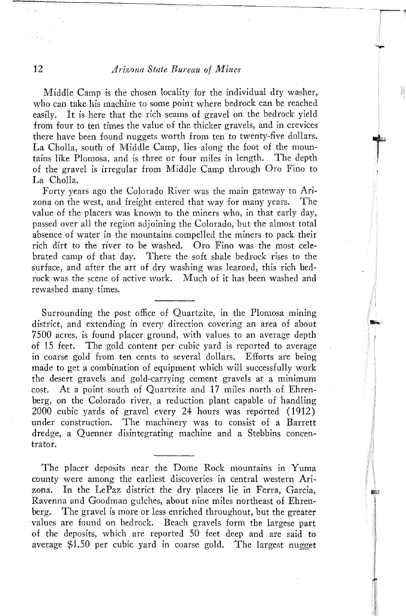## 12 *Arizona State Bureau of Mines*

Middle Camp is the chosen locality for the individual dry washer, who can take his machine to some point where bedrock can be reached easily. It is here that the rich seams of gravel on the bedrock yield from four to ten times the value of the thicker gravels, and in crevices there have been found nuggets worth from ten to twenty-five dollars. La Cholla, south of Middle Camp, lies along the foot of the mountains like Plomosa, and is three or four miles in length. The depth of the gravel is irregular from Middle Camp through Oro Fino to La Cholla.

Forty years ago the Colorado River was the main gateway to Arizona on the west, and freight entered that way for many years. The value of the placers was known to the miners who, in that early day, passed over all the region adjoining the Colorado, but the almost total absence of water in the mountains compelled the miners to pack their rich dirt to the river to be washed. Oro Fino was the most celebrated camp of that day. There the soft shale bedrock rises to the surface, and after the art of dry washing was learned, this rich bedrock was the scene of active work. Much of it has been washed and rewashed many times.

Surrounding the post office of Quartzite, in the Plomosa mining district, and extending in every direction covering an area of about 7500 acres, is found placer ground, with values to an average depth of 15 feet. The gold content per cubic yard is reported to average in coarse gold from ten cents to several dollars. Efforts are being made to get a combination of equipment which will successfully work the desert gravels and gold-carrying cement gravels at a minimum cost. At a point south of Quartzite and 17 miles north of Ehrenberg, on the Colorado river, a reduction plant capable of handling 2000 cubic yards of gravel every 24 hours was reported (1912) under construction. The machinery was to consist of a Barrett dredge, a Quenner disintegrating machine and a Stebbins concentrator.

The placer deposits near the Dome Rock mountains in Yuma county were among the earliest discoveries in central western Arizona. In the LePaz district the dry placers lie in Ferra, Garcia, Ravenna and Goodman gulches, about nine miles northeast of Ehrenberg. The gravel is more or less enriched throughout, but the greater values are found on bedrock. Beach gravels form the largese part of the deposits, which are reported 50 feet deep and are said to average \$1.50 per cubic yard in coarse gold. The largest nugget

**RET**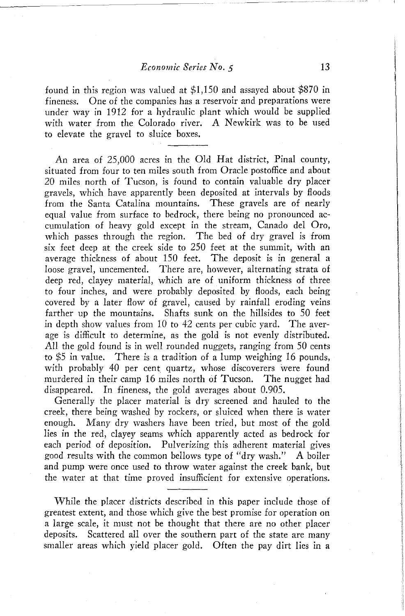found in this region was valued at \$1,150 and assayed about \$870 in fineness. One of the companies has a reservoir and preparations were under way in 1912 for a hydraulic plant which would be supplied with water from the Colorado river. A Newkirk was to be used to elevate the gravel to sluice boxes.

An area of 25,000 acres in the Old Hat district, Pinal county, situated from four to ten miles south from Oracle postoffice and about 20 miles north of Tucson, is found to contain valuable dry placer gravels, which have apparently been deposited at intervals by floods from the Santa Catalina mountains. These gravels are of nearly equal value from surface to bedrock, there being no pronounced accumulation of heavy gold except in the stream, Canado del Oro, which passes through the region. The bed of dry gravel is from six feet deep at the creek side to 250 feet at the summit, with an average thickness of about 150 feet. The deposit is in general a loose gravel, uncemented. There are, however, alternating strata of deep red, clayey material, which are of uniform thickness of three to four inches, and were probably deposited by floods, each being covered by a later flow of gravel, caused by rainfall eroding veins farther up the mountains. Shafts sunk on the hillsides to 50 feet in depth show values from 10 to 42 cents per cubic yard. The average is difficult to determine, as the gold is not evenly distributed. All the gold found is in well rounded nuggets, ranging from 50 cents to \$5 in value. There is a tradition of a lump weighing 16 pounds, with probably 40 per cent quartz, whose discoverers were found murdered in their camp 16 miles north of Tucson. The nugget had disappeared. In fineness, the gold averages about 0.905.

Generally the placer material is dry screened and hauled to the creek, there being washed by rockers, or sluiced when there is water enough. Many dry washers have been tried, but most of the gold lies in the red, clayey seams which apparently acted as bedrock for each period of deposition. Pulverizing this adherent material gives good results with the common bellows type of "dry wash." A boiler and pump were once used to throw water against the creek bank, but the water at that time proved insufficient for extensive operations.

While the placer districts described in this paper include those of greatest extent, and those which give the best promise for operation on a large scale, it must not be thought that there are no other placer deposits. Scattered all over the southern part of the state are many smaller areas which yield placer gold. Often the pay dirt lies in a